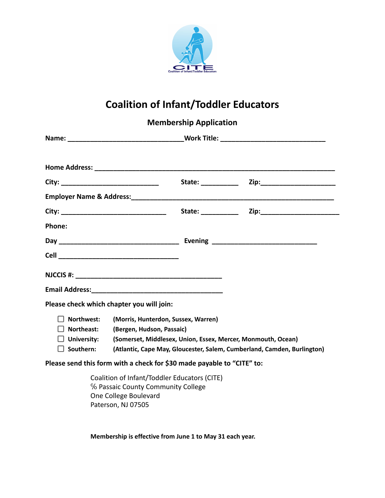

## **Coalition of Infant/Toddler Educators**

|                                                                           |                                                                                                                                                                                                             | <b>Membership Application</b> |  |
|---------------------------------------------------------------------------|-------------------------------------------------------------------------------------------------------------------------------------------------------------------------------------------------------------|-------------------------------|--|
|                                                                           |                                                                                                                                                                                                             |                               |  |
|                                                                           |                                                                                                                                                                                                             |                               |  |
|                                                                           |                                                                                                                                                                                                             |                               |  |
|                                                                           |                                                                                                                                                                                                             |                               |  |
|                                                                           |                                                                                                                                                                                                             |                               |  |
| Phone:                                                                    |                                                                                                                                                                                                             |                               |  |
|                                                                           |                                                                                                                                                                                                             |                               |  |
|                                                                           |                                                                                                                                                                                                             |                               |  |
|                                                                           |                                                                                                                                                                                                             |                               |  |
|                                                                           |                                                                                                                                                                                                             |                               |  |
|                                                                           | Please check which chapter you will join:                                                                                                                                                                   |                               |  |
| Northwest:<br>$\Box$ Northeast:<br>$\Box$ University:<br>$\Box$ Southern: | (Morris, Hunterdon, Sussex, Warren)<br>(Bergen, Hudson, Passaic)<br>(Somerset, Middlesex, Union, Essex, Mercer, Monmouth, Ocean)<br>(Atlantic, Cape May, Gloucester, Salem, Cumberland, Camden, Burlington) |                               |  |
|                                                                           | Please send this form with a check for \$30 made payable to "CITE" to:                                                                                                                                      |                               |  |
|                                                                           | Coalition of Infant/Toddler Educators (CITE)<br>% Passaic County Community College<br>One College Boulevard                                                                                                 |                               |  |

Paterson, NJ 07505

**Membership is effective from June 1 to May 31 each year.**